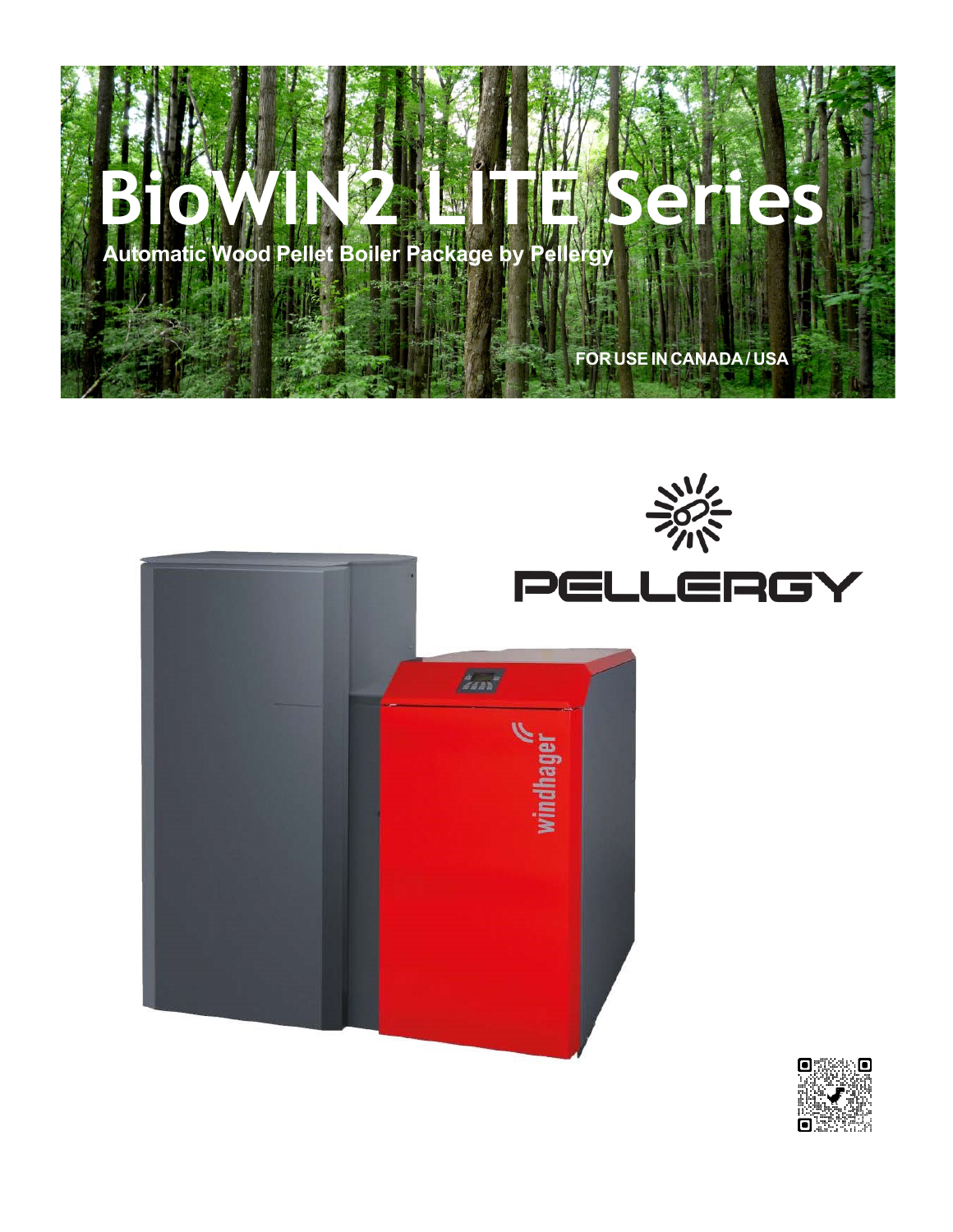